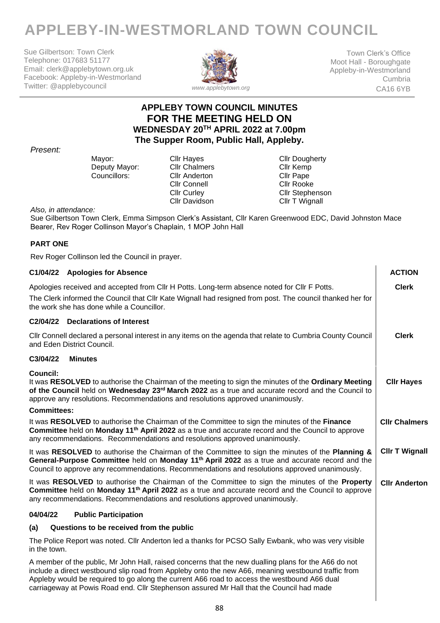# **APPLEBY-IN-WESTMORLAND TOWN COUNCIL**

Sue Gilbertson: Town Clerk Telephone: 017683 51177 Email: clerk@applebytown.org.uk Facebook: Appleby-in-Westmorland Twitter: @applebycouncil



Town Clerk's Office Moot Hall - Boroughgate Appleby-in-Westmorland Cumbria CA16 6YB

# **APPLEBY TOWN COUNCIL MINUTES FOR THE MEETING HELD ON WEDNESDAY 20TH APRIL 2022 at 7.00pm The Supper Room, Public Hall, Appleby.**

### *Present:*

Deputy Mayor: Cllr Chalmers Cllr Kemp<br>Councillors: Cllr Anderton Cllr Pape

Cllr Anderton Cllr Connell Cllr Rooke Cllr Davidson

Mayor: Cllr Hayes Cult Dougherty<br>
Deputy Mayor: Cllr Chalmers Cllr Kemp Cllr Curley Cllr Stephenson<br>
Cllr Davidson Cllr T Wignall

*Also, in attendance:*

Sue Gilbertson Town Clerk, Emma Simpson Clerk's Assistant, Cllr Karen Greenwood EDC, David Johnston Mace Bearer, Rev Roger Collinson Mayor's Chaplain, 1 MOP John Hall

# **PART ONE**

Rev Roger Collinson led the Council in prayer.

| C1/04/22 Apologies for Absence                                                                                                                                                                                                                                                                                                                                                                        | <b>ACTION</b>         |
|-------------------------------------------------------------------------------------------------------------------------------------------------------------------------------------------------------------------------------------------------------------------------------------------------------------------------------------------------------------------------------------------------------|-----------------------|
| Apologies received and accepted from CIIr H Potts. Long-term absence noted for CIIr F Potts.                                                                                                                                                                                                                                                                                                          | <b>Clerk</b>          |
| The Clerk informed the Council that Cllr Kate Wignall had resigned from post. The council thanked her for<br>the work she has done while a Councillor.                                                                                                                                                                                                                                                |                       |
| C2/04/22 Declarations of Interest                                                                                                                                                                                                                                                                                                                                                                     |                       |
| CIIr Connell declared a personal interest in any items on the agenda that relate to Cumbria County Council<br>and Eden District Council.                                                                                                                                                                                                                                                              | <b>Clerk</b>          |
| C3/04/22<br><b>Minutes</b>                                                                                                                                                                                                                                                                                                                                                                            |                       |
| Council:<br>It was RESOLVED to authorise the Chairman of the meeting to sign the minutes of the Ordinary Meeting<br>of the Council held on Wednesday 23rd March 2022 as a true and accurate record and the Council to<br>approve any resolutions. Recommendations and resolutions approved unanimously.                                                                                               | <b>CIIr Hayes</b>     |
| <b>Committees:</b>                                                                                                                                                                                                                                                                                                                                                                                    |                       |
| It was RESOLVED to authorise the Chairman of the Committee to sign the minutes of the Finance<br>Committee held on Monday 11 <sup>th</sup> April 2022 as a true and accurate record and the Council to approve<br>any recommendations. Recommendations and resolutions approved unanimously.                                                                                                          | <b>CIIr Chalmers</b>  |
| It was RESOLVED to authorise the Chairman of the Committee to sign the minutes of the Planning &<br>General-Purpose Committee held on Monday 11 <sup>th</sup> April 2022 as a true and accurate record and the<br>Council to approve any recommendations. Recommendations and resolutions approved unanimously.                                                                                       | <b>CIIr T Wignall</b> |
| It was RESOLVED to authorise the Chairman of the Committee to sign the minutes of the Property<br>Committee held on Monday 11 <sup>th</sup> April 2022 as a true and accurate record and the Council to approve<br>any recommendations. Recommendations and resolutions approved unanimously.                                                                                                         | <b>CIIr Anderton</b>  |
| 04/04/22<br><b>Public Participation</b>                                                                                                                                                                                                                                                                                                                                                               |                       |
| Questions to be received from the public<br>(a)                                                                                                                                                                                                                                                                                                                                                       |                       |
| The Police Report was noted. Cllr Anderton led a thanks for PCSO Sally Ewbank, who was very visible<br>in the town.                                                                                                                                                                                                                                                                                   |                       |
| A member of the public, Mr John Hall, raised concerns that the new dualling plans for the A66 do not<br>include a direct westbound slip road from Appleby onto the new A66, meaning westbound traffic from<br>Appleby would be required to go along the current A66 road to access the westbound A66 dual<br>carriageway at Powis Road end. Cllr Stephenson assured Mr Hall that the Council had made |                       |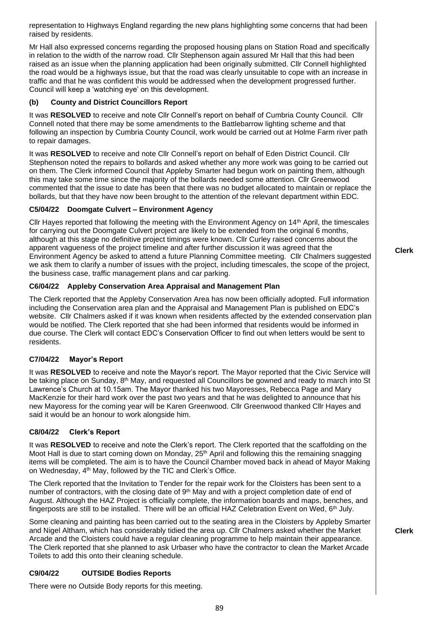representation to Highways England regarding the new plans highlighting some concerns that had been raised by residents.

Mr Hall also expressed concerns regarding the proposed housing plans on Station Road and specifically in relation to the width of the narrow road. Cllr Stephenson again assured Mr Hall that this had been raised as an issue when the planning application had been originally submitted. Cllr Connell highlighted the road would be a highways issue, but that the road was clearly unsuitable to cope with an increase in traffic and that he was confident this would be addressed when the development progressed further. Council will keep a 'watching eye' on this development.

## **(b) County and District Councillors Report**

It was **RESOLVED** to receive and note Cllr Connell's report on behalf of Cumbria County Council. Cllr Connell noted that there may be some amendments to the Battlebarrow lighting scheme and that following an inspection by Cumbria County Council, work would be carried out at Holme Farm river path to repair damages.

It was **RESOLVED** to receive and note Cllr Connell's report on behalf of Eden District Council. Cllr Stephenson noted the repairs to bollards and asked whether any more work was going to be carried out on them. The Clerk informed Council that Appleby Smarter had begun work on painting them, although this may take some time since the majority of the bollards needed some attention. Cllr Greenwood commented that the issue to date has been that there was no budget allocated to maintain or replace the bollards, but that they have now been brought to the attention of the relevant department within EDC.

### **C5/04/22 Doomgate Culvert – Environment Agency**

Cllr Hayes reported that following the meeting with the Environment Agency on 14th April, the timescales for carrying out the Doomgate Culvert project are likely to be extended from the original 6 months, although at this stage no definitive project timings were known. Cllr Curley raised concerns about the apparent vagueness of the project timeline and after further discussion it was agreed that the Environment Agency be asked to attend a future Planning Committee meeting. Cllr Chalmers suggested we ask them to clarify a number of issues with the project, including timescales, the scope of the project, the business case, traffic management plans and car parking.

### **C6/04/22 Appleby Conservation Area Appraisal and Management Plan**

The Clerk reported that the Appleby Conservation Area has now been officially adopted. Full information including the Conservation area plan and the Appraisal and Management Plan is published on EDC's website. Cllr Chalmers asked if it was known when residents affected by the extended conservation plan would be notified. The Clerk reported that she had been informed that residents would be informed in due course. The Clerk will contact EDC's Conservation Officer to find out when letters would be sent to residents.

# **C7/04/22 Mayor's Report**

It was **RESOLVED** to receive and note the Mayor's report. The Mayor reported that the Civic Service will be taking place on Sunday, 8<sup>th</sup> May, and requested all Councillors be gowned and ready to march into St Lawrence's Church at 10.15am. The Mayor thanked his two Mayoresses, Rebecca Page and Mary MacKenzie for their hard work over the past two years and that he was delighted to announce that his new Mayoress for the coming year will be Karen Greenwood. Cllr Greenwood thanked Cllr Hayes and said it would be an honour to work alongside him.

#### **C8/04/22 Clerk's Report**

It was **RESOLVED** to receive and note the Clerk's report. The Clerk reported that the scaffolding on the Moot Hall is due to start coming down on Monday, 25<sup>th</sup> April and following this the remaining snagging items will be completed. The aim is to have the Council Chamber moved back in ahead of Mayor Making on Wednesday, 4<sup>th</sup> May, followed by the TIC and Clerk's Office.

The Clerk reported that the Invitation to Tender for the repair work for the Cloisters has been sent to a number of contractors, with the closing date of  $9<sup>th</sup>$  May and with a project completion date of end of August. Although the HAZ Project is officially complete, the information boards and maps, benches, and fingerposts are still to be installed. There will be an official HAZ Celebration Event on Wed, 6th July.

Some cleaning and painting has been carried out to the seating area in the Cloisters by Appleby Smarter and Nigel Altham, which has considerably tidied the area up. Cllr Chalmers asked whether the Market Arcade and the Cloisters could have a regular cleaning programme to help maintain their appearance. The Clerk reported that she planned to ask Urbaser who have the contractor to clean the Market Arcade Toilets to add this onto their cleaning schedule.

# **C9/04/22 OUTSIDE Bodies Reports**

There were no Outside Body reports for this meeting.

**Clerk**

**Clerk**